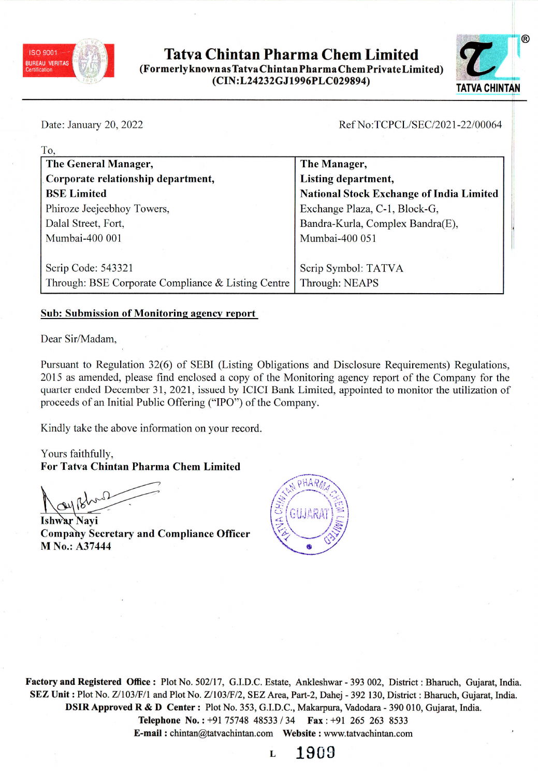

# **Tatva Chintan Pharma Chem Limited** (Formerlyknown as Tatva Chintan Pharma Chem Private Limited) (CIN:L24232GJ1996PLC029894)



Date: January 20, 2022

## Ref No:TCPCL/SEC/2021-22/00064

| To.                                                |                                                 |
|----------------------------------------------------|-------------------------------------------------|
| The General Manager,                               | The Manager,                                    |
| Corporate relationship department,                 | Listing department,                             |
| <b>BSE Limited</b>                                 | <b>National Stock Exchange of India Limited</b> |
| Phiroze Jeejeebhoy Towers,                         | Exchange Plaza, C-1, Block-G,                   |
| Dalal Street, Fort,                                | Bandra-Kurla, Complex Bandra(E),                |
| Mumbai-400 001                                     | Mumbai-400 051                                  |
|                                                    |                                                 |
| Scrip Code: 543321                                 | Scrip Symbol: TATVA                             |
| Through: BSE Corporate Compliance & Listing Centre | Through: NEAPS                                  |

## **Sub: Submission of Monitoring agency report**

Dear Sir/Madam.

Pursuant to Regulation 32(6) of SEBI (Listing Obligations and Disclosure Requirements) Regulations, 2015 as amended, please find enclosed a copy of the Monitoring agency report of the Company for the quarter ended December 31, 2021, issued by ICICI Bank Limited, appointed to monitor the utilization of proceeds of an Initial Public Offering ("IPO") of the Company.

Kindly take the above information on your record.

Yours faithfully, For Tatva Chintan Pharma Chem Limited

**Ishwar Navi Company Secretary and Compliance Officer** M No.: A37444



Factory and Registered Office: Plot No. 502/17, G.I.D.C. Estate, Ankleshwar - 393 002, District: Bharuch, Gujarat, India. SEZ Unit: Plot No. Z/103/F/1 and Plot No. Z/103/F/2, SEZ Area, Part-2, Dahej - 392 130, District: Bharuch, Gujarat, India. DSIR Approved R & D Center: Plot No. 353, G.I.D.C., Makarpura, Vadodara - 390 010, Gujarat, India. Telephone No.: +91 75748 48533 / 34 Fax: +91 265 263 8533 E-mail: chintan@tatvachintan.com Website: www.tatvachintan.com

1909 L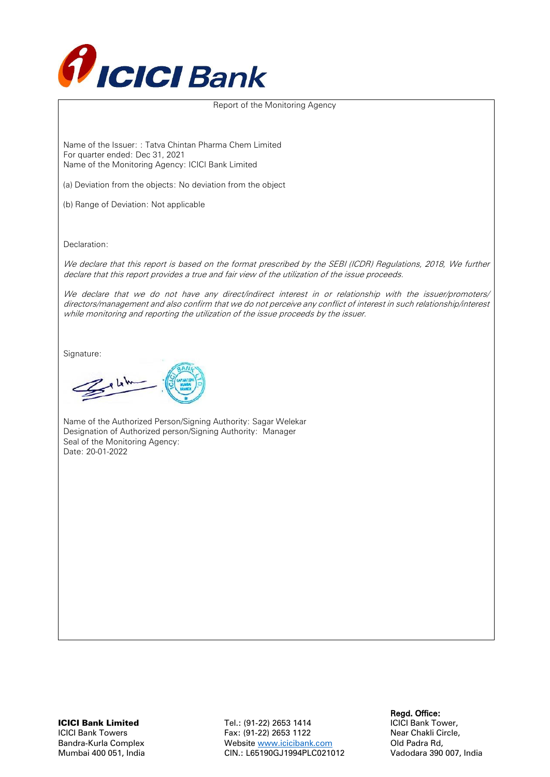

Report of the Monitoring Agency

Name of the Issuer: : Tatva Chintan Pharma Chem Limited For quarter ended: Dec 31, 2021 Name of the Monitoring Agency: ICICI Bank Limited

(a) Deviation from the objects: No deviation from the object

(b) Range of Deviation: Not applicable

Declaration:

We declare that this report is based on the format prescribed by the SEBI (ICDR) Regulations, 2018, We further declare that this report provides a true and fair view of the utilization of the issue proceeds.

We declare that we do not have any direct/indirect interest in or relationship with the issuer/promoters/ directors/management and also confirm that we do not perceive any conflict of interest in such relationship/interest while monitoring and reporting the utilization of the issue proceeds by the issuer.

Signature:

 $2.11$ 

Name of the Authorized Person/Signing Authority: Sagar Welekar Designation of Authorized person/Signing Authority: Manager Seal of the Monitoring Agency: Date: 20-01-2022

Regd. Office:<br>1991 - Tel.: (91-22) 2653 1414 - Regd. Office:<br>1991 - Tel.: (91-22) 2653 1414 - CICI Bank Tower, Tel.: (91-22) 2653 1414 ICICI Bank Towers Fax: (91-22) 2653 1122 Near Chakli Circle, Bandra-Kurla Complex Website [www.icicibank.com](http://www.icicibank.com/) Old Padra Rd, Mumbai 400 051, India CIN.: L65190GJ1994PLC021012 Vadodara 390 007, India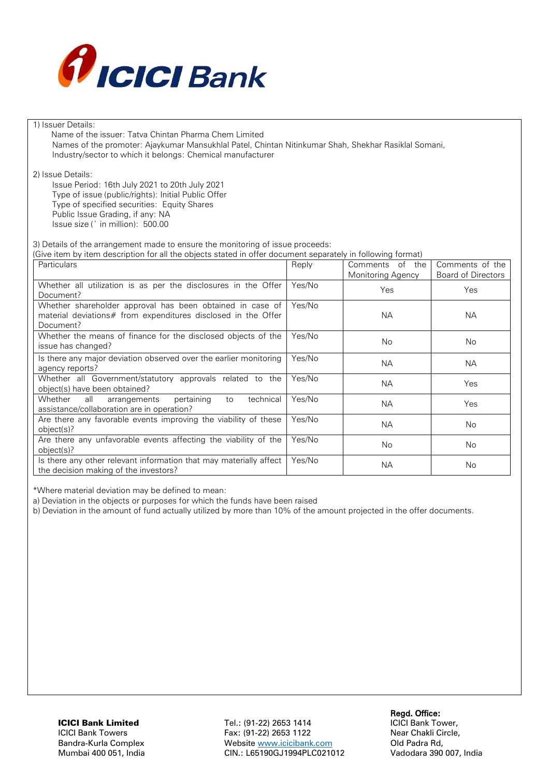

### 1) Issuer Details:

 Name of the issuer: Tatva Chintan Pharma Chem Limited Names of the promoter: Ajaykumar Mansukhlal Patel, Chintan Nitinkumar Shah, Shekhar Rasiklal Somani, Industry/sector to which it belongs: Chemical manufacturer

2) Issue Details:

Issue Period: 16th July 2021 to 20th July 2021 Type of issue (public/rights): Initial Public Offer Type of specified securities: Equity Shares Public Issue Grading, if any: NA Issue size (` in million): 500.00

3) Details of the arrangement made to ensure the monitoring of issue proceeds:

(Give item by item description for all the objects stated in offer document separately in following format)

| Particulars                                                        | Reply  | of the<br>Comments | Comments of the           |
|--------------------------------------------------------------------|--------|--------------------|---------------------------|
|                                                                    |        | Monitoring Agency  | <b>Board of Directors</b> |
| Whether all utilization is as per the disclosures in the Offer     | Yes/No | Yes                | Yes                       |
| Document?                                                          |        |                    |                           |
| Whether shareholder approval has been obtained in case of          | Yes/No |                    |                           |
| material deviations# from expenditures disclosed in the Offer      |        | NА                 | NA.                       |
| Document?                                                          |        |                    |                           |
| Whether the means of finance for the disclosed objects of the      | Yes/No | No.                | No.                       |
| issue has changed?                                                 |        |                    |                           |
| Is there any major deviation observed over the earlier monitoring  | Yes/No |                    |                           |
| agency reports?                                                    |        | <b>NA</b>          | <b>NA</b>                 |
| Whether all Government/statutory approvals related to the          | Yes/No | <b>NA</b>          | Yes                       |
| object(s) have been obtained?                                      |        |                    |                           |
| pertaining<br>Whether<br>technical<br>all<br>arrangements<br>to    | Yes/No | <b>NA</b>          | Yes                       |
| assistance/collaboration are in operation?                         |        |                    |                           |
| Are there any favorable events improving the viability of these    | Yes/No | <b>NA</b>          | No.                       |
| object(s)?                                                         |        |                    |                           |
| Are there any unfavorable events affecting the viability of the    | Yes/No | No                 | <b>No</b>                 |
| object(s)?                                                         |        |                    |                           |
| Is there any other relevant information that may materially affect | Yes/No | <b>NA</b>          | No                        |
| the decision making of the investors?                              |        |                    |                           |

\*Where material deviation may be defined to mean:

a) Deviation in the objects or purposes for which the funds have been raised

b) Deviation in the amount of fund actually utilized by more than 10% of the amount projected in the offer documents.

Regd. Office:<br>1991 - Tel.: (91-22) 2653 1414 - Regd. Office:<br>1991 - Tel.: (91-22) 2653 1414 - CICI Bank Tower, Tel.: (91-22) 2653 1414 ICICI Bank Towers Fax: (91-22) 2653 1122 Near Chakli Circle, Bandra-Kurla Complex Website [www.icicibank.com](http://www.icicibank.com/) Old Padra Rd, Mumbai 400 051, India CIN.: L65190GJ1994PLC021012 Vadodara 390 007, India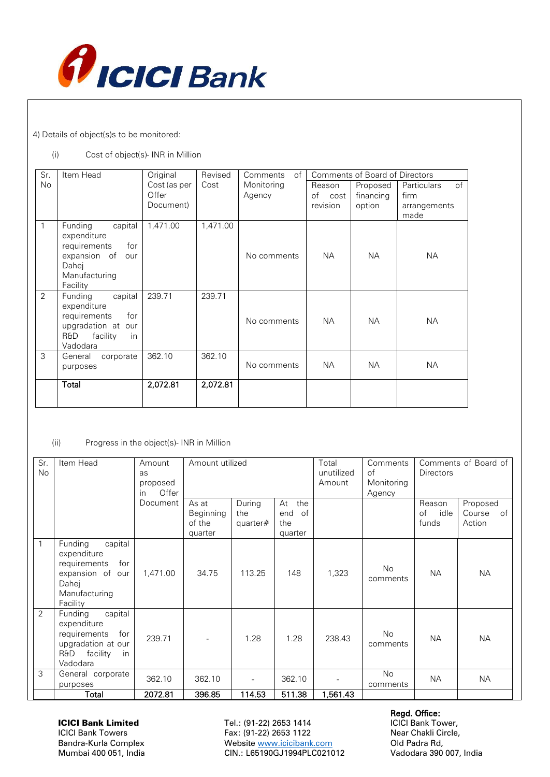

4) Details of object(s)s to be monitored:

### (i) Cost of object(s)- INR in Million

| Sr.       | Item Head                                                                                                             | Original     | Revised  | of<br>Comments | Comments of Board of Directors |           |                          |
|-----------|-----------------------------------------------------------------------------------------------------------------------|--------------|----------|----------------|--------------------------------|-----------|--------------------------|
| <b>No</b> |                                                                                                                       | Cost (as per | Cost     | Monitoring     | Reason                         | Proposed  | of<br><b>Particulars</b> |
|           |                                                                                                                       | Offer        |          | Agency         | of<br>cost                     | financing | firm                     |
|           |                                                                                                                       | Document)    |          |                | revision                       | option    | arrangements             |
|           |                                                                                                                       |              |          |                |                                |           | made                     |
| 1         | Funding<br>capital<br>expenditure<br>requirements<br>for<br>expansion of<br>our<br>Dahej<br>Manufacturing<br>Facility | 1,471.00     | 1,471.00 | No comments    | <b>NA</b>                      | NA.       | <b>NA</b>                |
| 2         | capital<br>Funding<br>expenditure<br>requirements<br>for<br>upgradation at our<br>R&D<br>facility<br>in<br>Vadodara   | 239.71       | 239.71   | No comments    | <b>NA</b>                      | NA.       | <b>NA</b>                |
| 3         | General<br>corporate<br>purposes                                                                                      | 362.10       | 362.10   | No comments    | <b>NA</b>                      | <b>NA</b> | <b>NA</b>                |
|           | Total                                                                                                                 | 2,072.81     | 2,072.81 |                |                                |           |                          |

## (ii) Progress in the object(s)- INR in Million

| Sr.<br><b>No</b> | Item Head                                                                                                                  | Amount<br>as<br>proposed<br>Offer<br>in | Amount utilized                         |                           | Total<br>unutilized<br>Amount            | Comments<br>$\circ$ f<br>Monitoring<br>Agency | <b>Directors</b>      | Comments of Board of          |                                    |
|------------------|----------------------------------------------------------------------------------------------------------------------------|-----------------------------------------|-----------------------------------------|---------------------------|------------------------------------------|-----------------------------------------------|-----------------------|-------------------------------|------------------------------------|
|                  |                                                                                                                            | Document                                | As at<br>Beginning<br>of the<br>quarter | During<br>the<br>quarter# | At<br>the<br>end<br>of<br>the<br>quarter |                                               |                       | Reason<br>idle<br>οf<br>funds | Proposed<br>Course<br>of<br>Action |
|                  | Funding<br>capital<br>expenditure<br>requirements<br>for<br>expansion of our<br>Dahej<br>Manufacturing<br>Facility         | 1,471.00                                | 34.75                                   | 113.25                    | 148                                      | 1,323                                         | <b>No</b><br>comments | <b>NA</b>                     | <b>NA</b>                          |
| 2                | Funding<br>capital<br>expenditure<br>requirements<br>for<br>upgradation at our<br>R&D<br>facility<br><i>in</i><br>Vadodara | 239.71                                  |                                         | 1.28                      | 1.28                                     | 238.43                                        | <b>No</b><br>comments | <b>NA</b>                     | <b>NA</b>                          |
| 3                | General corporate<br>purposes                                                                                              | 362.10                                  | 362.10                                  |                           | 362.10                                   |                                               | No.<br>comments       | <b>NA</b>                     | <b>NA</b>                          |
|                  | Total                                                                                                                      | 2072.81                                 | 396.85                                  | 114.53                    | 511.38                                   | 1,561.43                                      |                       |                               |                                    |

**CICI Bank Limited**<br>**Regd. Office:** Tel.: (91-22) 2653 1414 **Regd. Office:** CICI Bank Tower, Tel.: (91-22) 2653 1414 ICICI Bank Towers Fax: (91-22) 2653 1122<br>Bandra-Kurla Complex Fax: Website www.icicibank.com Cld Padra Rd, Website [www.icicibank.com](http://www.icicibank.com/) Mumbai 400 051, India CIN.: L65190GJ1994PLC021012 Vadodara 390 007, India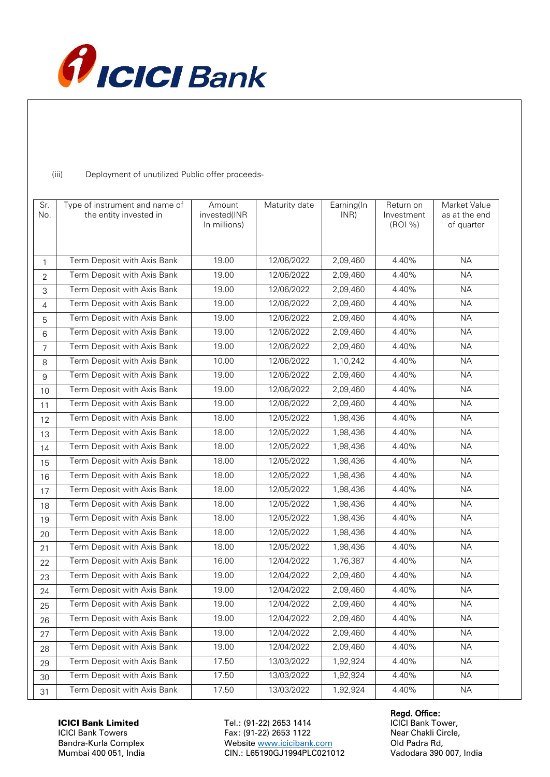

### (iii) Deployment of unutilized Public offer proceeds-

| Sr.<br>No.     | Type of instrument and name of<br>the entity invested in | Amount<br>invested(INR<br>In millions) | Maturity date | Earning(In<br>INR)    | Return on<br>Investment<br>(ROI %) | Market Value<br>as at the end<br>of quarter |
|----------------|----------------------------------------------------------|----------------------------------------|---------------|-----------------------|------------------------------------|---------------------------------------------|
| $\mathbf{1}$   | Term Deposit with Axis Bank                              | 19.00                                  | 12/06/2022    | 2,09,460              | 4.40%                              | <b>NA</b>                                   |
| $\overline{2}$ | Term Deposit with Axis Bank                              | 19.00                                  | 12/06/2022    | $\overline{2,09,460}$ | 4.40%                              | <b>NA</b>                                   |
| 3              | Term Deposit with Axis Bank                              | 19.00                                  | 12/06/2022    | 2,09,460              | 4.40%                              | <b>NA</b>                                   |
| $\overline{4}$ | Term Deposit with Axis Bank                              | 19.00                                  | 12/06/2022    | 2,09,460              | 4.40%                              | <b>NA</b>                                   |
| 5              | Term Deposit with Axis Bank                              | 19.00                                  | 12/06/2022    | 2,09,460              | 4.40%                              | <b>NA</b>                                   |
| 6              | Term Deposit with Axis Bank                              | 19.00                                  | 12/06/2022    | 2,09,460              | 4.40%                              | <b>NA</b>                                   |
| $\overline{7}$ | Term Deposit with Axis Bank                              | 19.00                                  | 12/06/2022    | 2,09,460              | 4.40%                              | <b>NA</b>                                   |
| 8              | Term Deposit with Axis Bank                              | 10.00                                  | 12/06/2022    | 1,10,242              | 4.40%                              | <b>NA</b>                                   |
| 9              | Term Deposit with Axis Bank                              | 19.00                                  | 12/06/2022    | 2,09,460              | 4.40%                              | <b>NA</b>                                   |
| 10             | Term Deposit with Axis Bank                              | 19.00                                  | 12/06/2022    | 2,09,460              | 4.40%                              | <b>NA</b>                                   |
| 11             | Term Deposit with Axis Bank                              | 19.00                                  | 12/06/2022    | 2,09,460              | 4.40%                              | <b>NA</b>                                   |
| 12             | Term Deposit with Axis Bank                              | 18.00                                  | 12/05/2022    | 1,98,436              | 4.40%                              | <b>NA</b>                                   |
| 13             | Term Deposit with Axis Bank                              | 18.00                                  | 12/05/2022    | 1,98,436              | 4.40%                              | <b>NA</b>                                   |
| 14             | Term Deposit with Axis Bank                              | 18.00                                  | 12/05/2022    | 1,98,436              | 4.40%                              | <b>NA</b>                                   |
| 15             | Term Deposit with Axis Bank                              | 18.00                                  | 12/05/2022    | 1,98,436              | 4.40%                              | <b>NA</b>                                   |
| 16             | Term Deposit with Axis Bank                              | 18.00                                  | 12/05/2022    | 1,98,436              | 4.40%                              | <b>NA</b>                                   |
| 17             | Term Deposit with Axis Bank                              | 18.00                                  | 12/05/2022    | 1,98,436              | 4.40%                              | <b>NA</b>                                   |
| 18             | Term Deposit with Axis Bank                              | 18.00                                  | 12/05/2022    | 1,98,436              | 4.40%                              | <b>NA</b>                                   |
| 19             | Term Deposit with Axis Bank                              | 18.00                                  | 12/05/2022    | 1,98,436              | 4.40%                              | <b>NA</b>                                   |
| 20             | Term Deposit with Axis Bank                              | 18.00                                  | 12/05/2022    | 1,98,436              | 4.40%                              | <b>NA</b>                                   |
| 21             | Term Deposit with Axis Bank                              | 18.00                                  | 12/05/2022    | 1,98,436              | 4.40%                              | <b>NA</b>                                   |
| 22             | Term Deposit with Axis Bank                              | 16.00                                  | 12/04/2022    | 1,76,387              | 4.40%                              | <b>NA</b>                                   |
| 23             | Term Deposit with Axis Bank                              | 19.00                                  | 12/04/2022    | 2,09,460              | 4.40%                              | <b>NA</b>                                   |
| 24             | Term Deposit with Axis Bank                              | 19.00                                  | 12/04/2022    | 2,09,460              | 4.40%                              | <b>NA</b>                                   |
| 25             | Term Deposit with Axis Bank                              | 19.00                                  | 12/04/2022    | 2,09,460              | 4.40%                              | <b>NA</b>                                   |
| 26             | Term Deposit with Axis Bank                              | 19.00                                  | 12/04/2022    | 2,09,460              | 4.40%                              | <b>NA</b>                                   |
| 27             | Term Deposit with Axis Bank                              | 19.00                                  | 12/04/2022    | 2,09,460              | 4.40%                              | <b>NA</b>                                   |
| 28             | Term Deposit with Axis Bank                              | 19.00                                  | 12/04/2022    | 2,09,460              | 4.40%                              | <b>NA</b>                                   |
| 29             | Term Deposit with Axis Bank                              | 17.50                                  | 13/03/2022    | 1,92,924              | 4.40%                              | <b>NA</b>                                   |
| 30             | Term Deposit with Axis Bank                              | 17.50                                  | 13/03/2022    | 1,92,924              | 4.40%                              | <b>NA</b>                                   |
| 31             | Term Deposit with Axis Bank                              | 17.50                                  | 13/03/2022    | 1,92,924              | 4.40%                              | <b>NA</b>                                   |

**CICI Bank Limited**<br>**Regd. Office:** Tel.: (91-22) 2653 1414 **Regd. Office:** CICI Bank Tower, Tel.: (91-22) 2653 1414 ICICI Bank Towers Fax: (91-22) 2653 1122<br>Bandra-Kurla Complex Fax: Website www.icicibank.com Cld Padra Rd, Website [www.icicibank.com](http://www.icicibank.com/) Mumbai 400 051, India CIN.: L65190GJ1994PLC021012 Vadodara 390 007, India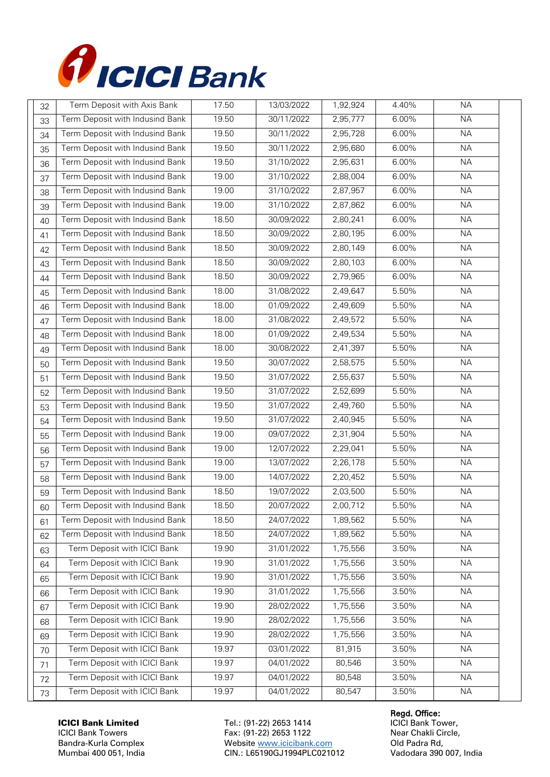

| 32 | Term Deposit with Axis Bank     | 17.50 | 13/03/2022 | 1,92,924 | 4.40% | <b>NA</b> |  |
|----|---------------------------------|-------|------------|----------|-------|-----------|--|
| 33 | Term Deposit with Indusind Bank | 19.50 | 30/11/2022 | 2,95,777 | 6.00% | <b>NA</b> |  |
| 34 | Term Deposit with Indusind Bank | 19.50 | 30/11/2022 | 2,95,728 | 6.00% | <b>NA</b> |  |
| 35 | Term Deposit with Indusind Bank | 19.50 | 30/11/2022 | 2,95,680 | 6.00% | <b>NA</b> |  |
| 36 | Term Deposit with Indusind Bank | 19.50 | 31/10/2022 | 2,95,631 | 6.00% | <b>NA</b> |  |
| 37 | Term Deposit with Indusind Bank | 19.00 | 31/10/2022 | 2,88,004 | 6.00% | <b>NA</b> |  |
| 38 | Term Deposit with Indusind Bank | 19.00 | 31/10/2022 | 2,87,957 | 6.00% | <b>NA</b> |  |
| 39 | Term Deposit with Indusind Bank | 19.00 | 31/10/2022 | 2,87,862 | 6.00% | ΝA        |  |
| 40 | Term Deposit with Indusind Bank | 18.50 | 30/09/2022 | 2,80,241 | 6.00% | <b>NA</b> |  |
| 41 | Term Deposit with Indusind Bank | 18.50 | 30/09/2022 | 2,80,195 | 6.00% | <b>NA</b> |  |
| 42 | Term Deposit with Indusind Bank | 18.50 | 30/09/2022 | 2,80,149 | 6.00% | <b>ΝΑ</b> |  |
| 43 | Term Deposit with Indusind Bank | 18.50 | 30/09/2022 | 2,80,103 | 6.00% | <b>NA</b> |  |
| 44 | Term Deposit with Indusind Bank | 18.50 | 30/09/2022 | 2,79,965 | 6.00% | <b>ΝΑ</b> |  |
| 45 | Term Deposit with Indusind Bank | 18.00 | 31/08/2022 | 2,49,647 | 5.50% | <b>NA</b> |  |
| 46 | Term Deposit with Indusind Bank | 18.00 | 01/09/2022 | 2,49,609 | 5.50% | <b>NA</b> |  |
| 47 | Term Deposit with Indusind Bank | 18.00 | 31/08/2022 | 2,49,572 | 5.50% | <b>NA</b> |  |
| 48 | Term Deposit with Indusind Bank | 18.00 | 01/09/2022 | 2,49,534 | 5.50% | <b>NA</b> |  |
| 49 | Term Deposit with Indusind Bank | 18.00 | 30/08/2022 | 2,41,397 | 5.50% | <b>NA</b> |  |
| 50 | Term Deposit with Indusind Bank | 19.50 | 30/07/2022 | 2,58,575 | 5.50% | <b>NA</b> |  |
| 51 | Term Deposit with Indusind Bank | 19.50 | 31/07/2022 | 2,55,637 | 5.50% | <b>NA</b> |  |
| 52 | Term Deposit with Indusind Bank | 19.50 | 31/07/2022 | 2,52,699 | 5.50% | <b>NA</b> |  |
| 53 | Term Deposit with Indusind Bank | 19.50 | 31/07/2022 | 2,49,760 | 5.50% | <b>NA</b> |  |
| 54 | Term Deposit with Indusind Bank | 19.50 | 31/07/2022 | 2,40,945 | 5.50% | <b>NA</b> |  |
| 55 | Term Deposit with Indusind Bank | 19.00 | 09/07/2022 | 2,31,904 | 5.50% | <b>NA</b> |  |
| 56 | Term Deposit with Indusind Bank | 19.00 | 12/07/2022 | 2,29,041 | 5.50% | ΝA        |  |
| 57 | Term Deposit with Indusind Bank | 19.00 | 13/07/2022 | 2,26,178 | 5.50% | <b>NA</b> |  |
| 58 | Term Deposit with Indusind Bank | 19.00 | 14/07/2022 | 2,20,452 | 5.50% | <b>NA</b> |  |
| 59 | Term Deposit with Indusind Bank | 18.50 | 19/07/2022 | 2,03,500 | 5.50% | <b>NA</b> |  |
| 60 | Term Deposit with Indusind Bank | 18.50 | 20/07/2022 | 2,00,712 | 5.50% | <b>ΝΑ</b> |  |
| 61 | Term Deposit with Indusind Bank | 18.50 | 24/07/2022 | 1,89,562 | 5.50% | <b>NA</b> |  |
| 62 | Term Deposit with Indusind Bank | 18.50 | 24/07/2022 | 1,89,562 | 5.50% | <b>NA</b> |  |
| 63 | Term Deposit with ICICI Bank    | 19.90 | 31/01/2022 | 1,75,556 | 3.50% | <b>NA</b> |  |
| 64 | Term Deposit with ICICI Bank    | 19.90 | 31/01/2022 | 1,75,556 | 3.50% | <b>NA</b> |  |
| 65 | Term Deposit with ICICI Bank    | 19.90 | 31/01/2022 | 1,75,556 | 3.50% | <b>NA</b> |  |
| 66 | Term Deposit with ICICI Bank    | 19.90 | 31/01/2022 | 1,75,556 | 3.50% | <b>NA</b> |  |
| 67 | Term Deposit with ICICI Bank    | 19.90 | 28/02/2022 | 1,75,556 | 3.50% | <b>NA</b> |  |
| 68 | Term Deposit with ICICI Bank    | 19.90 | 28/02/2022 | 1,75,556 | 3.50% | ΝA        |  |
| 69 | Term Deposit with ICICI Bank    | 19.90 | 28/02/2022 | 1,75,556 | 3.50% | <b>NA</b> |  |
| 70 | Term Deposit with ICICI Bank    | 19.97 | 03/01/2022 | 81,915   | 3.50% | <b>NA</b> |  |
| 71 | Term Deposit with ICICI Bank    | 19.97 | 04/01/2022 | 80,546   | 3.50% | <b>NA</b> |  |
| 72 | Term Deposit with ICICI Bank    | 19.97 | 04/01/2022 | 80,548   | 3.50% | <b>NA</b> |  |
| 73 | Term Deposit with ICICI Bank    | 19.97 | 04/01/2022 | 80,547   | 3.50% | <b>NA</b> |  |

**CICI Bank Limited**<br>**Regd. Office:** Tel.: (91-22) 2653 1414 **Regd. Office:** CICI Bank Tower, Tel.: (91-22) 2653 1414 ICICI Bank Towers Fax: (91-22) 2653 1122<br>Bandra-Kurla Complex Fax: (91-22) 2653 1122<br>Website www.icicibank.com Cold Padra Rd, Website [www.icicibank.com](http://www.icicibank.com/) Mumbai 400 051, India CIN.: L65190GJ1994PLC021012 Vadodara 390 007, India